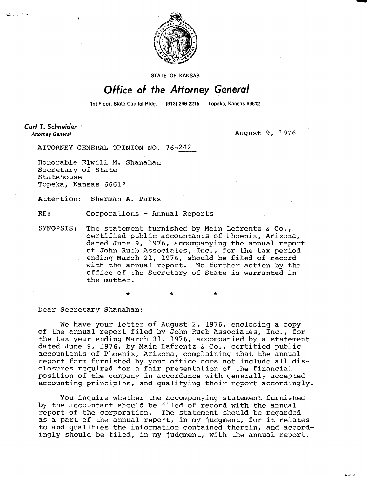

**STATE OF KANSAS** 

## Office of the Attorney General

1st Floor, State Capitol Bldg. (913) 296-2215 Topeka, Kansas 66612

**Curt T. Schneider Attorney General** 

August 9, 1976

ATTORNEY GENERAL OPINION NO. 76-242

Honorable Elwill M. Shanahan Secretary of State Statehouse Topeka, Kansas 66612

Attention: Sherman A. Parks

RE: Corporations - Annual Reports

SYNOPSIS: The statement furnished by Main Lefrentz & Co., certified public accountants of Phoenix, Arizona, dated June 9, 1976, accompanying the annual report of John Rueb Associates, Inc., for the tax period ending March 21, 1976, should be filed of record with the annual report. No further action by the office of the Secretary of State is warranted in the matter.

Dear Secretary Shanahan:

We have your letter of August 2, 1976, enclosing a copy of the annual report filed by John Rueb Associates, Inc., for the tax year ending March 31, 1976, accompanied by a statement dated June 9, 1976, by Main Lafrentz & Co., certified public accountants of Phoenix, Arizona, complaining that the annual report form furnished by your office does not include all disclosures required for a fair presentation of the financial position of the company in accordance with generally accepted accounting principles, and qualifying their report accordingly.

You inquire whether the accompanying statement furnished by the accountant should be filed of record with the annual report of the corporation. The statement should be regarded as a part of the annual report, in my judgment, for it relates to and qualifies the information contained therein, and accordingly should be filed, in my judgment, with the annual report.